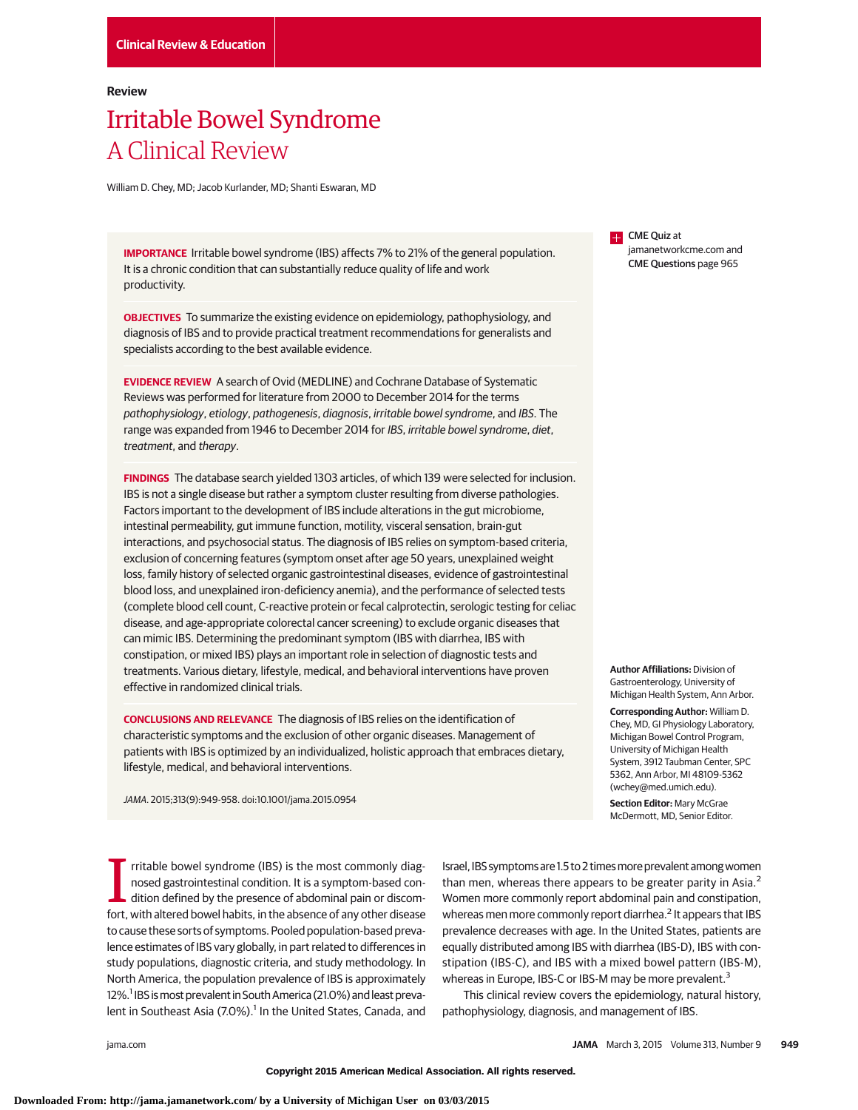## **Review**

# Irritable Bowel Syndrome A Clinical Review

William D. Chey, MD; Jacob Kurlander, MD; Shanti Eswaran, MD

**IMPORTANCE** Irritable bowel syndrome (IBS) affects 7% to 21% of the general population. It is a chronic condition that can substantially reduce quality of life and work productivity.

**OBJECTIVES** To summarize the existing evidence on epidemiology, pathophysiology, and diagnosis of IBS and to provide practical treatment recommendations for generalists and specialists according to the best available evidence.

**EVIDENCE REVIEW** A search of Ovid (MEDLINE) and Cochrane Database of Systematic Reviews was performed for literature from 2000 to December 2014 for the terms pathophysiology, etiology, pathogenesis, diagnosis, irritable bowel syndrome, and IBS. The range was expanded from 1946 to December 2014 for IBS, irritable bowel syndrome, diet, treatment, and therapy.

**FINDINGS** The database search yielded 1303 articles, of which 139 were selected for inclusion. IBS is not a single disease but rather a symptom cluster resulting from diverse pathologies. Factors important to the development of IBS include alterations in the gut microbiome, intestinal permeability, gut immune function, motility, visceral sensation, brain-gut interactions, and psychosocial status. The diagnosis of IBS relies on symptom-based criteria, exclusion of concerning features (symptom onset after age 50 years, unexplained weight loss, family history of selected organic gastrointestinal diseases, evidence of gastrointestinal blood loss, and unexplained iron-deficiency anemia), and the performance of selected tests (complete blood cell count, C-reactive protein or fecal calprotectin, serologic testing for celiac disease, and age-appropriate colorectal cancer screening) to exclude organic diseases that can mimic IBS. Determining the predominant symptom (IBS with diarrhea, IBS with constipation, or mixed IBS) plays an important role in selection of diagnostic tests and treatments. Various dietary, lifestyle, medical, and behavioral interventions have proven effective in randomized clinical trials.

**CONCLUSIONS AND RELEVANCE** The diagnosis of IBS relies on the identification of characteristic symptoms and the exclusion of other organic diseases. Management of patients with IBS is optimized by an individualized, holistic approach that embraces dietary, lifestyle, medical, and behavioral interventions.

JAMA. 2015;313(9):949-958. doi:10.1001/jama.2015.0954

In tritable bowel syndrome (IBS) is the most commonly diagnosed gastrointestinal condition. It is a symptom-based condition defined by the presence of abdominal pain or discomfort, with altered bowel habits, in the absence rritable bowel syndrome (IBS) is the most commonly diagnosed gastrointestinal condition. It is a symptom-based condition defined by the presence of abdominal pain or discomto cause these sorts of symptoms. Pooled population-based prevalence estimates of IBS vary globally, in part related to differences in study populations, diagnostic criteria, and study methodology. In North America, the population prevalence of IBS is approximately 12%.<sup>1</sup> IBS is most prevalent in South America (21.0%) and least prevalent in Southeast Asia (7.0%).<sup>1</sup> In the United States, Canada, and

Israel, IBS symptoms are 1.5 to 2 times more prevalent among women than men, whereas there appears to be greater parity in Asia. $<sup>2</sup>$ </sup> Women more commonly report abdominal pain and constipation, whereas men more commonly report diarrhea.<sup>2</sup> It appears that IBS prevalence decreases with age. In the United States, patients are equally distributed among IBS with diarrhea (IBS-D), IBS with constipation (IBS-C), and IBS with a mixed bowel pattern (IBS-M), whereas in Europe, IBS-C or IBS-M may be more prevalent.<sup>3</sup>

This clinical review covers the epidemiology, natural history, pathophysiology, diagnosis, and management of IBS.

**CME** Quiz at jamanetworkcme.com and CME Questions page 965

**Author Affiliations:** Division of Gastroenterology, University of Michigan Health System, Ann Arbor.

**Corresponding Author:** William D. Chey, MD, GI Physiology Laboratory, Michigan Bowel Control Program, University of Michigan Health System, 3912 Taubman Center, SPC 5362, Ann Arbor, MI 48109-5362 (wchey@med.umich.edu).

**Section Editor:** Mary McGrae McDermott, MD, Senior Editor.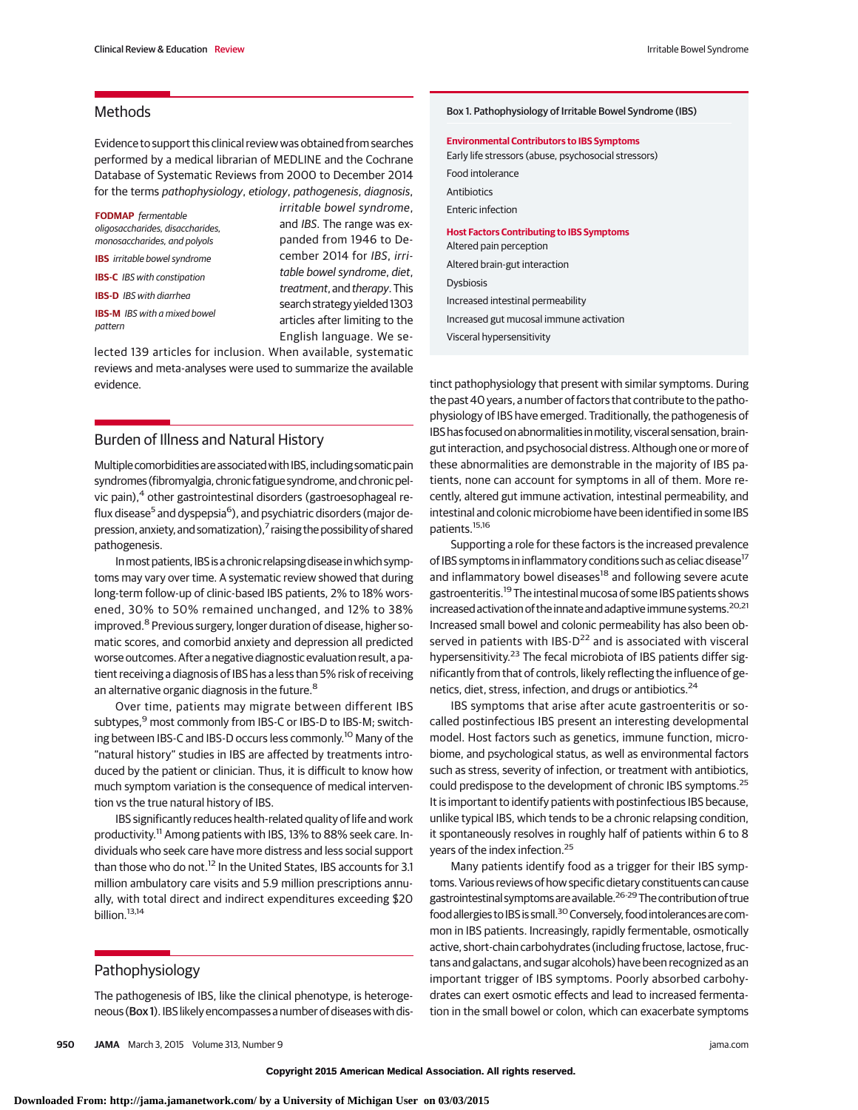# **Methods**

Evidence to support this clinical review was obtained from searches performed by a medical librarian of MEDLINE and the Cochrane Database of Systematic Reviews from 2000 to December 2014 for the terms pathophysiology, etiology, pathogenesis, diagnosis,

**FODMAP** fermentable oligosaccharides, disaccharides, monosaccharides, and polyols **IBS** irritable bowel syndrome **IBS-C** IBS with constipation **IBS-D** IBS with diarrhea

**IBS-M** IBS with a mixed bowel pattern

irritable bowel syndrome, and IBS. The range was expanded from 1946 to December 2014 for IBS, irritable bowel syndrome, diet, treatment, and therapy. This search strategy yielded 1303 articles after limiting to the English language. We se-

lected 139 articles for inclusion. When available, systematic reviews and meta-analyses were used to summarize the available evidence.

# Burden of Illness and Natural History

Multiple comorbidities are associated with IBS, including somatic pain syndromes (fibromyalgia, chronic fatigue syndrome, and chronic pelvic pain),<sup>4</sup> other gastrointestinal disorders (gastroesophageal reflux disease<sup>5</sup> and dyspepsia<sup>6</sup>), and psychiatric disorders (major depression, anxiety, and somatization), $^7$  raising the possibility of shared pathogenesis.

In most patients, IBS is a chronic relapsing disease in which symptoms may vary over time. A systematic review showed that during long-term follow-up of clinic-based IBS patients, 2% to 18% worsened, 30% to 50% remained unchanged, and 12% to 38% improved.<sup>8</sup> Previous surgery, longer duration of disease, higher somatic scores, and comorbid anxiety and depression all predicted worse outcomes. After a negative diagnostic evaluation result, a patient receiving a diagnosis of IBS has a less than 5% risk of receiving an alternative organic diagnosis in the future.<sup>8</sup>

Over time, patients may migrate between different IBS subtypes,<sup>9</sup> most commonly from IBS-C or IBS-D to IBS-M; switching between IBS-C and IBS-D occurs less commonly.<sup>10</sup> Many of the "natural history" studies in IBS are affected by treatments introduced by the patient or clinician. Thus, it is difficult to know how much symptom variation is the consequence of medical intervention vs the true natural history of IBS.

IBS significantly reduces health-related quality of life and work productivity.<sup>11</sup> Among patients with IBS, 13% to 88% seek care. Individuals who seek care have more distress and less social support than those who do not.<sup>12</sup> In the United States, IBS accounts for 3.1 million ambulatory care visits and 5.9 million prescriptions annually, with total direct and indirect expenditures exceeding \$20 billion.<sup>13,14</sup>

# Pathophysiology

The pathogenesis of IBS, like the clinical phenotype, is heterogeneous (Box 1). IBS likely encompasses a number of diseases with dis**Environmental Contributors to IBS Symptoms** Early life stressors (abuse, psychosocial stressors) Food intolerance Antibiotics Enteric infection **Host Factors Contributing to IBS Symptoms** Altered pain perception Altered brain-gut interaction Dysbiosis Increased intestinal permeability Increased gut mucosal immune activation Visceral hypersensitivity

tinct pathophysiology that present with similar symptoms. During the past 40 years, a number of factors that contribute to the pathophysiology of IBS have emerged. Traditionally, the pathogenesis of IBS has focused on abnormalities in motility, visceral sensation, braingut interaction, and psychosocial distress. Although one or more of these abnormalities are demonstrable in the majority of IBS patients, none can account for symptoms in all of them. More recently, altered gut immune activation, intestinal permeability, and intestinal and colonic microbiome have been identified in some IBS patients.15,16

Supporting a role for these factors is the increased prevalence of IBS symptoms in inflammatory conditions such as celiac disease<sup>17</sup> and inflammatory bowel diseases<sup>18</sup> and following severe acute gastroenteritis.19 The intestinal mucosa of some IBS patients shows increased activation of the innate and adaptive immune systems.<sup>20,21</sup> Increased small bowel and colonic permeability has also been observed in patients with IBS-D<sup>22</sup> and is associated with visceral hypersensitivity.<sup>23</sup> The fecal microbiota of IBS patients differ significantly from that of controls, likely reflecting the influence of genetics, diet, stress, infection, and drugs or antibiotics.<sup>24</sup>

IBS symptoms that arise after acute gastroenteritis or socalled postinfectious IBS present an interesting developmental model. Host factors such as genetics, immune function, microbiome, and psychological status, as well as environmental factors such as stress, severity of infection, or treatment with antibiotics, could predispose to the development of chronic IBS symptoms.<sup>25</sup> It is important to identify patients with postinfectious IBS because, unlike typical IBS, which tends to be a chronic relapsing condition, it spontaneously resolves in roughly half of patients within 6 to 8 years of the index infection.25

Many patients identify food as a trigger for their IBS symptoms. Various reviews of how specific dietary constituents can cause gastrointestinal symptomsareavailable.26-29The contribution of true food allergies to IBS is small.<sup>30</sup> Conversely, food intolerances are common in IBS patients. Increasingly, rapidly fermentable, osmotically active, short-chain carbohydrates (including fructose, lactose, fructans and galactans, and sugar alcohols) have been recognized as an important trigger of IBS symptoms. Poorly absorbed carbohydrates can exert osmotic effects and lead to increased fermentation in the small bowel or colon, which can exacerbate symptoms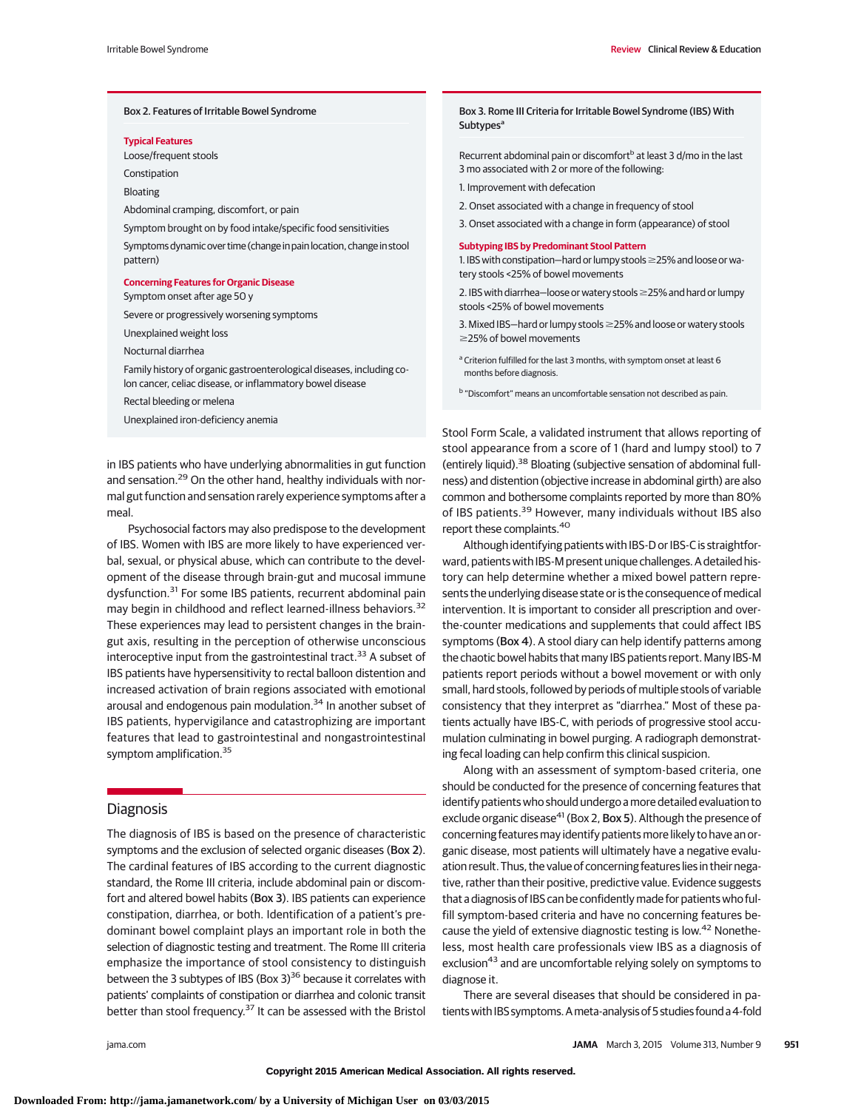#### Box 2. Features of Irritable Bowel Syndrome

#### **Typical Features**

Loose/frequent stools

Constipation

Bloating

Abdominal cramping, discomfort, or pain

Symptom brought on by food intake/specific food sensitivities

Symptoms dynamic over time (change in pain location, change in stool pattern)

## **Concerning Features for Organic Disease**

Symptom onset after age 50 y

Severe or progressively worsening symptoms

Unexplained weight loss

Nocturnal diarrhea

Family history of organic gastroenterological diseases, including colon cancer, celiac disease, or inflammatory bowel disease

Rectal bleeding or melena

Unexplained iron-deficiency anemia

in IBS patients who have underlying abnormalities in gut function and sensation.<sup>29</sup> On the other hand, healthy individuals with normal gut function and sensation rarely experience symptoms after a meal.

Psychosocial factors may also predispose to the development of IBS. Women with IBS are more likely to have experienced verbal, sexual, or physical abuse, which can contribute to the development of the disease through brain-gut and mucosal immune dysfunction.<sup>31</sup> For some IBS patients, recurrent abdominal pain may begin in childhood and reflect learned-illness behaviors.<sup>32</sup> These experiences may lead to persistent changes in the braingut axis, resulting in the perception of otherwise unconscious interoceptive input from the gastrointestinal tract.<sup>33</sup> A subset of IBS patients have hypersensitivity to rectal balloon distention and increased activation of brain regions associated with emotional arousal and endogenous pain modulation.<sup>34</sup> In another subset of IBS patients, hypervigilance and catastrophizing are important features that lead to gastrointestinal and nongastrointestinal symptom amplification.<sup>35</sup>

# **Diagnosis**

The diagnosis of IBS is based on the presence of characteristic symptoms and the exclusion of selected organic diseases (Box 2). The cardinal features of IBS according to the current diagnostic standard, the Rome III criteria, include abdominal pain or discomfort and altered bowel habits (Box 3). IBS patients can experience constipation, diarrhea, or both. Identification of a patient's predominant bowel complaint plays an important role in both the selection of diagnostic testing and treatment. The Rome III criteria emphasize the importance of stool consistency to distinguish between the 3 subtypes of IBS (Box 3) $36$  because it correlates with patients' complaints of constipation or diarrhea and colonic transit better than stool frequency.<sup>37</sup> It can be assessed with the Bristol

Box 3. Rome III Criteria for Irritable Bowel Syndrome (IBS) With **Subtypes<sup>a</sup>** 

Recurrent abdominal pain or discomfort<sup>b</sup> at least 3 d/mo in the last 3 mo associated with 2 or more of the following:

- 1. Improvement with defecation
- 2. Onset associated with a change in frequency of stool
- 3. Onset associated with a change in form (appearance) of stool

#### **Subtyping IBS by Predominant Stool Pattern**

1. IBS with constipation—hard or lumpy stools-25% and loose or watery stools <25% of bowel movements

2. IBS with diarrhea—loose or watery stools-25% and hard or lumpy stools <25% of bowel movements

3. Mixed IBS—hard or lumpy stools ≥25% and loose or watery stools ≥25% of bowel movements

- a Criterion fulfilled for the last 3 months, with symptom onset at least 6 months before diagnosis.
- <sup>b</sup> "Discomfort" means an uncomfortable sensation not described as pain.

Stool Form Scale, a validated instrument that allows reporting of stool appearance from a score of 1 (hard and lumpy stool) to 7 (entirely liquid).38 Bloating (subjective sensation of abdominal fullness) and distention (objective increase in abdominal girth) are also common and bothersome complaints reported by more than 80% of IBS patients.<sup>39</sup> However, many individuals without IBS also report these complaints.<sup>40</sup>

Although identifying patients with IBS-D or IBS-C is straightforward, patients with IBS-M present unique challenges. A detailed history can help determine whether a mixed bowel pattern represents the underlying disease state or is the consequence of medical intervention. It is important to consider all prescription and overthe-counter medications and supplements that could affect IBS symptoms (Box 4). A stool diary can help identify patterns among the chaotic bowel habits that many IBS patients report. Many IBS-M patients report periods without a bowel movement or with only small, hard stools, followed by periods of multiple stools of variable consistency that they interpret as "diarrhea." Most of these patients actually have IBS-C, with periods of progressive stool accumulation culminating in bowel purging. A radiograph demonstrating fecal loading can help confirm this clinical suspicion.

Along with an assessment of symptom-based criteria, one should be conducted for the presence of concerning features that identify patients who should undergo a more detailed evaluation to exclude organic disease<sup>41</sup> (Box 2, Box 5). Although the presence of concerning features may identify patients more likely to have an organic disease, most patients will ultimately have a negative evaluation result. Thus, the value of concerning features lies in their negative, rather than their positive, predictive value. Evidence suggests that a diagnosis of IBS can be confidently made for patients who fulfill symptom-based criteria and have no concerning features because the yield of extensive diagnostic testing is low.<sup>42</sup> Nonetheless, most health care professionals view IBS as a diagnosis of exclusion<sup>43</sup> and are uncomfortable relying solely on symptoms to diagnose it.

There are several diseases that should be considered in patients with IBS symptoms. A meta-analysis of 5 studies found a 4-fold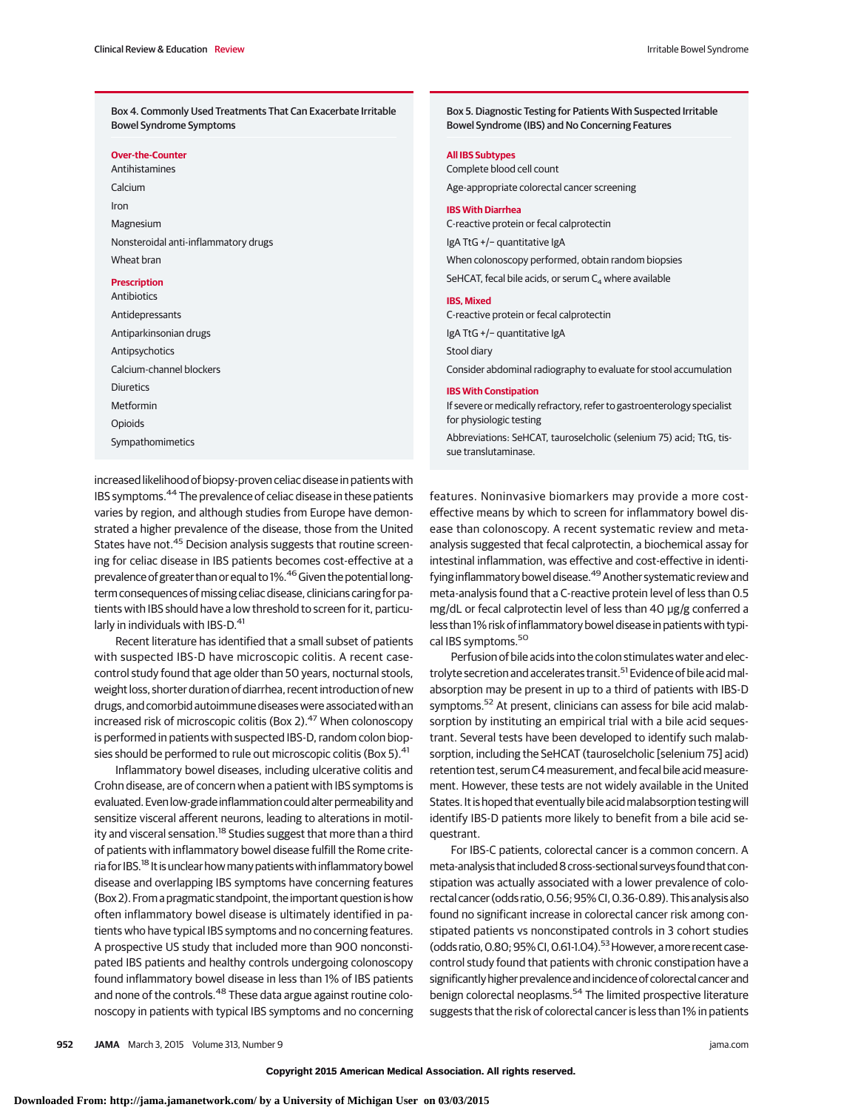Box 4. Commonly Used Treatments That Can Exacerbate Irritable Bowel Syndrome Symptoms

**Over-the-Counter**

Antihistamines Calcium Iron Magnesium Nonsteroidal anti-inflammatory drugs Wheat bran

## **Prescription**

Antibiotics Antidepressants Antiparkinsonian drugs Antipsychotics Calcium-channel blockers Diuretics Metformin Opioids Sympathomimetics

Box 5. Diagnostic Testing for Patients With Suspected Irritable Bowel Syndrome (IBS) and No Concerning Features

#### **All IBS Subtypes**

Complete blood cell count Age-appropriate colorectal cancer screening

#### **IBS With Diarrhea**

C-reactive protein or fecal calprotectin IgA TtG +/− quantitative IgA When colonoscopy performed, obtain random biopsies SeHCAT, fecal bile acids, or serum  $C_4$  where available

#### **IBS, Mixed**

C-reactive protein or fecal calprotectin IgA TtG +/− quantitative IgA Stool diary Consider abdominal radiography to evaluate for stool accumulation **IBS With Constipation**

If severe or medically refractory, refer to gastroenterology specialist for physiologic testing

Abbreviations: SeHCAT, tauroselcholic (selenium 75) acid; TtG, tissue translutaminase.

increased likelihood of biopsy-proven celiac disease in patients with IBS symptoms.<sup>44</sup> The prevalence of celiac disease in these patients varies by region, and although studies from Europe have demonstrated a higher prevalence of the disease, those from the United States have not.<sup>45</sup> Decision analysis suggests that routine screening for celiac disease in IBS patients becomes cost-effective at a prevalence of greater than or equal to 1%.<sup>46</sup> Given the potential longterm consequences of missing celiac disease, clinicians caring for patients with IBS should have a low threshold to screen for it, particularly in individuals with IBS-D.<sup>41</sup>

Recent literature has identified that a small subset of patients with suspected IBS-D have microscopic colitis. A recent casecontrol study found that age older than 50 years, nocturnal stools, weight loss, shorter duration of diarrhea, recent introduction of new drugs, and comorbid autoimmune diseases were associated with an increased risk of microscopic colitis (Box 2).<sup>47</sup> When colonoscopy is performed in patients with suspected IBS-D, random colon biopsies should be performed to rule out microscopic colitis (Box 5).<sup>41</sup>

Inflammatory bowel diseases, including ulcerative colitis and Crohn disease, are of concern when a patient with IBS symptoms is evaluated. Even low-grade inflammation could alter permeability and sensitize visceral afferent neurons, leading to alterations in motility and visceral sensation.<sup>18</sup> Studies suggest that more than a third of patients with inflammatory bowel disease fulfill the Rome criteria for IBS.<sup>18</sup> It is unclear how many patients with inflammatory bowel disease and overlapping IBS symptoms have concerning features (Box 2). From a pragmatic standpoint, the important question is how often inflammatory bowel disease is ultimately identified in patients who have typical IBS symptoms and no concerning features. A prospective US study that included more than 900 nonconstipated IBS patients and healthy controls undergoing colonoscopy found inflammatory bowel disease in less than 1% of IBS patients and none of the controls.<sup>48</sup> These data argue against routine colonoscopy in patients with typical IBS symptoms and no concerning features. Noninvasive biomarkers may provide a more costeffective means by which to screen for inflammatory bowel disease than colonoscopy. A recent systematic review and metaanalysis suggested that fecal calprotectin, a biochemical assay for intestinal inflammation, was effective and cost-effective in identifying inflammatory bowel disease.<sup>49</sup> Another systematic review and meta-analysis found that a C-reactive protein level of less than 0.5 mg/dL or fecal calprotectin level of less than 40 μg/g conferred a less than 1% risk of inflammatory bowel disease in patients with typical IBS symptoms.<sup>50</sup>

Perfusion of bile acids into the colon stimulates water and electrolyte secretion and accelerates transit.<sup>51</sup> Evidence of bile acid malabsorption may be present in up to a third of patients with IBS-D symptoms.<sup>52</sup> At present, clinicians can assess for bile acid malabsorption by instituting an empirical trial with a bile acid sequestrant. Several tests have been developed to identify such malabsorption, including the SeHCAT (tauroselcholic [selenium 75] acid) retention test, serum C4measurement, and fecal bile acidmeasurement. However, these tests are not widely available in the United States. It is hoped that eventually bile acidmalabsorption testing will identify IBS-D patients more likely to benefit from a bile acid sequestrant.

For IBS-C patients, colorectal cancer is a common concern. A meta-analysis that included 8 cross-sectional surveys found that constipation was actually associated with a lower prevalence of colorectal cancer (odds ratio,0.56; 95% CI,0.36-0.89). This analysis also found no significant increase in colorectal cancer risk among constipated patients vs nonconstipated controls in 3 cohort studies (odds ratio, 0.80; 95% CI, 0.61-1.04).<sup>53</sup> However, a more recent casecontrol study found that patients with chronic constipation have a significantly higher prevalence and incidence of colorectal cancer and benign colorectal neoplasms.<sup>54</sup> The limited prospective literature suggests that the risk of colorectal cancer is less than 1% in patients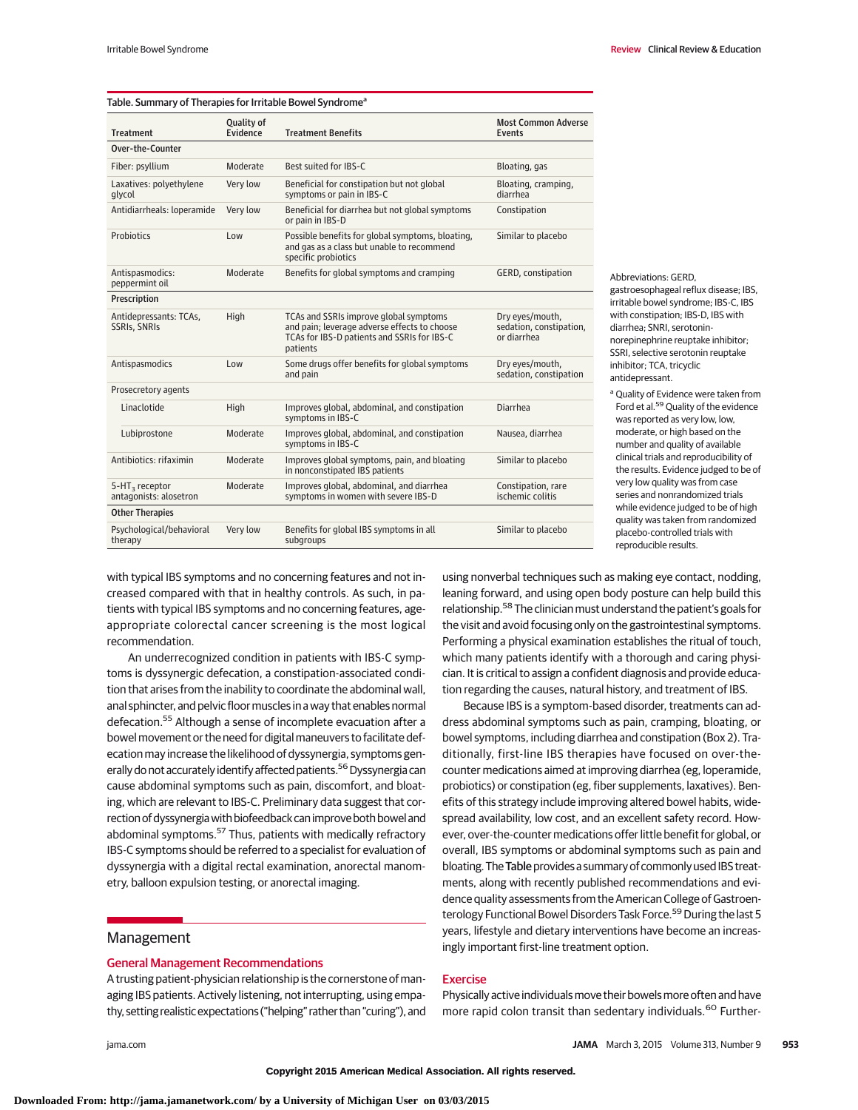| Table. Summary of Therapies for Irritable Bowel Syndrome <sup>a</sup> |                        |                                                                                                                                                   |                                                           |
|-----------------------------------------------------------------------|------------------------|---------------------------------------------------------------------------------------------------------------------------------------------------|-----------------------------------------------------------|
| <b>Treatment</b>                                                      | Quality of<br>Evidence | <b>Treatment Benefits</b>                                                                                                                         | <b>Most Common Adverse</b><br><b>Events</b>               |
| Over-the-Counter                                                      |                        |                                                                                                                                                   |                                                           |
| Fiber: psyllium                                                       | Moderate               | Best suited for IBS-C                                                                                                                             | Bloating, gas                                             |
| Laxatives: polyethylene<br>qlycol                                     | Very low               | Beneficial for constipation but not global<br>symptoms or pain in IBS-C                                                                           | Bloating, cramping,<br>diarrhea                           |
| Antidiarrheals: loperamide                                            | Very low               | Beneficial for diarrhea but not global symptoms<br>or pain in IBS-D                                                                               | Constipation                                              |
| Probiotics                                                            | Low                    | Possible benefits for global symptoms, bloating,<br>and gas as a class but unable to recommend<br>specific probiotics                             | Similar to placebo                                        |
| Antispasmodics:<br>peppermint oil                                     | Moderate               | Benefits for global symptoms and cramping                                                                                                         | GERD, constipation                                        |
| Prescription                                                          |                        |                                                                                                                                                   |                                                           |
| Antidepressants: TCAs,<br>SSRIs, SNRIs                                | High                   | TCAs and SSRIs improve global symptoms<br>and pain; leverage adverse effects to choose<br>TCAs for IBS-D patients and SSRIs for IBS-C<br>patients | Dry eyes/mouth,<br>sedation, constipation,<br>or diarrhea |
| Antispasmodics                                                        | Low                    | Some drugs offer benefits for global symptoms<br>and pain                                                                                         | Dry eyes/mouth,<br>sedation, constipation                 |
| Prosecretory agents                                                   |                        |                                                                                                                                                   |                                                           |
| Linaclotide                                                           | High                   | Improves global, abdominal, and constipation<br>symptoms in IBS-C                                                                                 | <b>Diarrhea</b>                                           |
| Lubiprostone                                                          | Moderate               | Improves global, abdominal, and constipation<br>symptoms in IBS-C                                                                                 | Nausea, diarrhea                                          |
| Antibiotics: rifaximin                                                | Moderate               | Improves global symptoms, pain, and bloating<br>in nonconstipated IBS patients                                                                    | Similar to placebo                                        |
| 5-HT <sub>3</sub> receptor<br>antagonists: alosetron                  | Moderate               | Improves global, abdominal, and diarrhea<br>symptoms in women with severe IBS-D                                                                   | Constipation, rare<br>ischemic colitis                    |
| <b>Other Therapies</b>                                                |                        |                                                                                                                                                   |                                                           |
| Psychological/behavioral<br>therapy                                   | Very low               | Benefits for global IBS symptoms in all<br>subgroups                                                                                              | Similar to placebo                                        |

Irritable Bowel Syndrome Review Clinical Review & Education

Abbreviations: GERD, gastroesophageal reflux disease; IBS, irritable bowel syndrome; IBS-C, IBS with constipation; IBS-D, IBS with diarrhea; SNRI, serotoninnorepinephrine reuptake inhibitor; SSRI, selective serotonin reuptake inhibitor; TCA, tricyclic antidepressant.

<sup>a</sup> Quality of Evidence were taken from Ford et al.<sup>59</sup> Quality of the evidence was reported as very low, low, moderate, or high based on the number and quality of available clinical trials and reproducibility of the results. Evidence judged to be of very low quality was from case series and nonrandomized trials while evidence judged to be of high quality was taken from randomized placebo-controlled trials with reproducible results.

with typical IBS symptoms and no concerning features and not increased compared with that in healthy controls. As such, in patients with typical IBS symptoms and no concerning features, ageappropriate colorectal cancer screening is the most logical recommendation.

An underrecognized condition in patients with IBS-C symptoms is dyssynergic defecation, a constipation-associated condition that arises from the inability to coordinate the abdominal wall, anal sphincter, and pelvic floor muscles in a way that enables normal defecation.<sup>55</sup> Although a sense of incomplete evacuation after a bowel movement or the need for digital maneuvers to facilitate defecation may increase the likelihood of dyssynergia, symptoms generally do not accurately identify affected patients.<sup>56</sup> Dyssynergia can cause abdominal symptoms such as pain, discomfort, and bloating, which are relevant to IBS-C. Preliminary data suggest that correction of dyssynergiawith biofeedback can improve both bowel and abdominal symptoms.<sup>57</sup> Thus, patients with medically refractory IBS-C symptoms should be referred to a specialist for evaluation of dyssynergia with a digital rectal examination, anorectal manometry, balloon expulsion testing, or anorectal imaging.

## Management

## General Management Recommendations

A trusting patient-physician relationship is the cornerstone of managing IBS patients. Actively listening, not interrupting, using empathy, setting realistic expectations ("helping" rather than "curing"), and

using nonverbal techniques such as making eye contact, nodding, leaning forward, and using open body posture can help build this relationship.<sup>58</sup> The clinician must understand the patient's goals for the visit and avoid focusing only on the gastrointestinal symptoms. Performing a physical examination establishes the ritual of touch, which many patients identify with a thorough and caring physician. It is critical to assign a confident diagnosis and provide education regarding the causes, natural history, and treatment of IBS.

Because IBS is a symptom-based disorder, treatments can address abdominal symptoms such as pain, cramping, bloating, or bowel symptoms, including diarrhea and constipation (Box 2). Traditionally, first-line IBS therapies have focused on over-thecounter medications aimed at improving diarrhea (eg, loperamide, probiotics) or constipation (eg, fiber supplements, laxatives). Benefits of this strategy include improving altered bowel habits, widespread availability, low cost, and an excellent safety record. However, over-the-counter medications offer little benefit for global, or overall, IBS symptoms or abdominal symptoms such as pain and bloating. The Table provides a summary of commonly used IBS treatments, along with recently published recommendations and evidence quality assessments from the American College of Gastroenterology Functional Bowel Disorders Task Force.<sup>59</sup> During the last 5 years, lifestyle and dietary interventions have become an increasingly important first-line treatment option.

## Exercise

Physically active individuals move their bowels more often and have more rapid colon transit than sedentary individuals.<sup>60</sup> Further-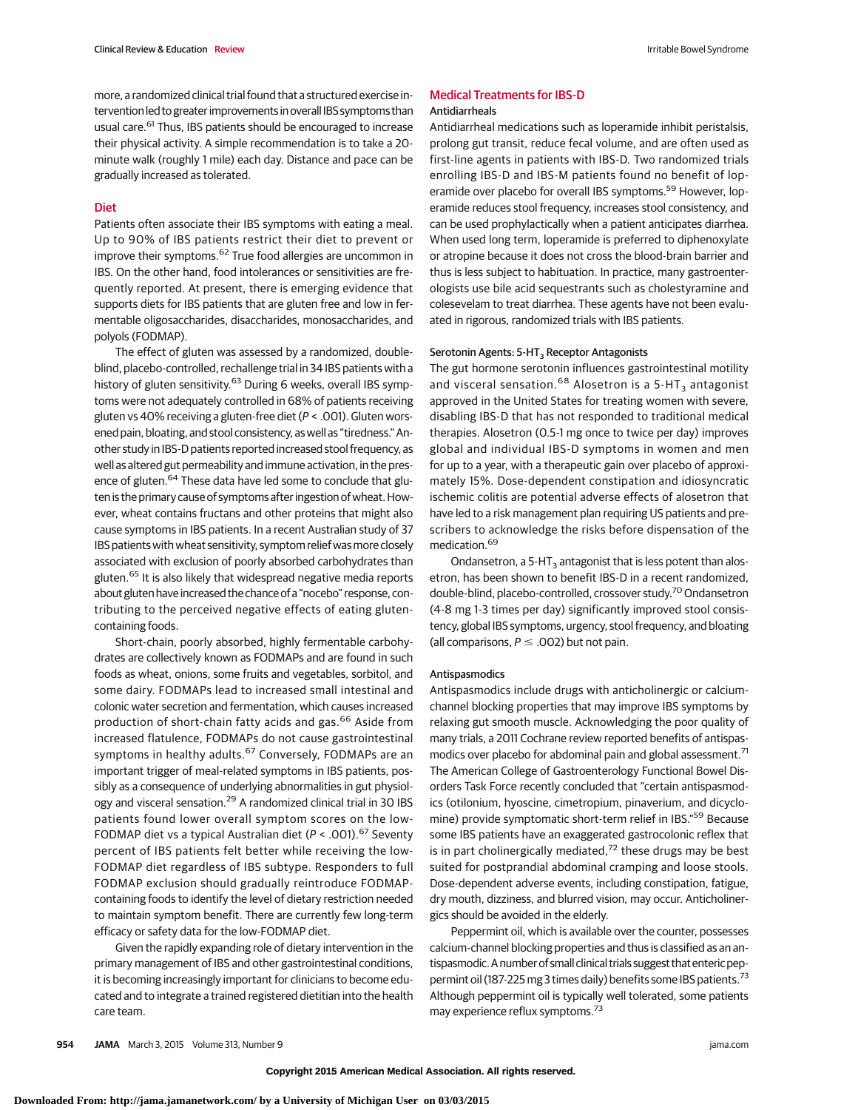more, a randomized clinical trial found that a structured exercise intervention led to greater improvements in overall IBS symptoms than usual care.<sup>61</sup> Thus, IBS patients should be encouraged to increase their physical activity. A simple recommendation is to take a 20 minute walk (roughly 1 mile) each day. Distance and pace can be gradually increased as tolerated.

# Diet

Patients often associate their IBS symptoms with eating a meal. Up to 90% of IBS patients restrict their diet to prevent or improve their symptoms.<sup>62</sup> True food allergies are uncommon in IBS. On the other hand, food intolerances or sensitivities are frequently reported. At present, there is emerging evidence that supports diets for IBS patients that are gluten free and low in fermentable oligosaccharides, disaccharides, monosaccharides, and polyols (FODMAP).

The effect of gluten was assessed by a randomized, doubleblind, placebo-controlled, rechallenge trial in 34 IBS patients with a history of gluten sensitivity.<sup>63</sup> During 6 weeks, overall IBS symptoms were not adequately controlled in 68% of patients receiving gluten vs 40% receiving a gluten-free diet (P < .001). Gluten worsened pain, bloating, and stool consistency, as well as "tiredness." Another study in IBS-D patients reported increased stool frequency, as well as altered gut permeability and immune activation, in the presence of gluten.<sup>64</sup> These data have led some to conclude that gluten is the primary cause of symptoms after ingestion of wheat. However, wheat contains fructans and other proteins that might also cause symptoms in IBS patients. In a recent Australian study of 37 IBS patients with wheat sensitivity, symptom relief was more closely associated with exclusion of poorly absorbed carbohydrates than gluten.<sup>65</sup> It is also likely that widespread negative media reports about gluten have increased the chance of a "nocebo" response, contributing to the perceived negative effects of eating glutencontaining foods.

Short-chain, poorly absorbed, highly fermentable carbohydrates are collectively known as FODMAPs and are found in such foods as wheat, onions, some fruits and vegetables, sorbitol, and some dairy. FODMAPs lead to increased small intestinal and colonic water secretion and fermentation, which causes increased production of short-chain fatty acids and gas.<sup>66</sup> Aside from increased flatulence, FODMAPs do not cause gastrointestinal symptoms in healthy adults.<sup>67</sup> Conversely, FODMAPs are an important trigger of meal-related symptoms in IBS patients, possibly as a consequence of underlying abnormalities in gut physiology and visceral sensation.<sup>29</sup> A randomized clinical trial in 30 IBS patients found lower overall symptom scores on the low-FODMAP diet vs a typical Australian diet ( $P < .001$ ).<sup>67</sup> Seventy percent of IBS patients felt better while receiving the low-FODMAP diet regardless of IBS subtype. Responders to full FODMAP exclusion should gradually reintroduce FODMAPcontaining foods to identify the level of dietary restriction needed to maintain symptom benefit. There are currently few long-term efficacy or safety data for the low-FODMAP diet.

Given the rapidly expanding role of dietary intervention in the primary management of IBS and other gastrointestinal conditions, it is becoming increasingly important for clinicians to become educated and to integrate a trained registered dietitian into the health care team.

## Medical Treatments for IBS-D Antidiarrheals

Antidiarrheal medications such as loperamide inhibit peristalsis, prolong gut transit, reduce fecal volume, and are often used as first-line agents in patients with IBS-D. Two randomized trials enrolling IBS-D and IBS-M patients found no benefit of loperamide over placebo for overall IBS symptoms.<sup>59</sup> However, loperamide reduces stool frequency, increases stool consistency, and can be used prophylactically when a patient anticipates diarrhea. When used long term, loperamide is preferred to diphenoxylate or atropine because it does not cross the blood-brain barrier and thus is less subject to habituation. In practice, many gastroenterologists use bile acid sequestrants such as cholestyramine and colesevelam to treat diarrhea. These agents have not been evaluated in rigorous, randomized trials with IBS patients.

#### Serotonin Agents: 5-HT<sub>3</sub> Receptor Antagonists

The gut hormone serotonin influences gastrointestinal motility and visceral sensation.<sup>68</sup> Alosetron is a 5-HT<sub>3</sub> antagonist approved in the United States for treating women with severe, disabling IBS-D that has not responded to traditional medical therapies. Alosetron (0.5-1 mg once to twice per day) improves global and individual IBS-D symptoms in women and men for up to a year, with a therapeutic gain over placebo of approximately 15%. Dose-dependent constipation and idiosyncratic ischemic colitis are potential adverse effects of alosetron that have led to a risk management plan requiring US patients and prescribers to acknowledge the risks before dispensation of the medication.<sup>69</sup>

Ondansetron, a 5-HT<sub>3</sub> antagonist that is less potent than alosetron, has been shown to benefit IBS-D in a recent randomized, double-blind, placebo-controlled, crossover study.<sup>70</sup> Ondansetron (4-8 mg 1-3 times per day) significantly improved stool consistency, global IBS symptoms, urgency, stool frequency, and bloating (all comparisons,  $P \le .002$ ) but not pain.

#### Antispasmodics

Antispasmodics include drugs with anticholinergic or calciumchannel blocking properties that may improve IBS symptoms by relaxing gut smooth muscle. Acknowledging the poor quality of many trials, a 2011 Cochrane review reported benefits of antispasmodics over placebo for abdominal pain and global assessment.<sup>71</sup> The American College of Gastroenterology Functional Bowel Disorders Task Force recently concluded that "certain antispasmodics (otilonium, hyoscine, cimetropium, pinaverium, and dicyclomine) provide symptomatic short-term relief in IBS."<sup>59</sup> Because some IBS patients have an exaggerated gastrocolonic reflex that is in part cholinergically mediated, $72$  these drugs may be best suited for postprandial abdominal cramping and loose stools. Dose-dependent adverse events, including constipation, fatigue, dry mouth, dizziness, and blurred vision, may occur. Anticholinergics should be avoided in the elderly.

Peppermint oil, which is available over the counter, possesses calcium-channel blocking properties and thus is classified as an antispasmodic. A number of small clinical trials suggest that enteric peppermint oil (187-225 mg 3 times daily) benefits some IBS patients.<sup>73</sup> Although peppermint oil is typically well tolerated, some patients may experience reflux symptoms.<sup>73</sup>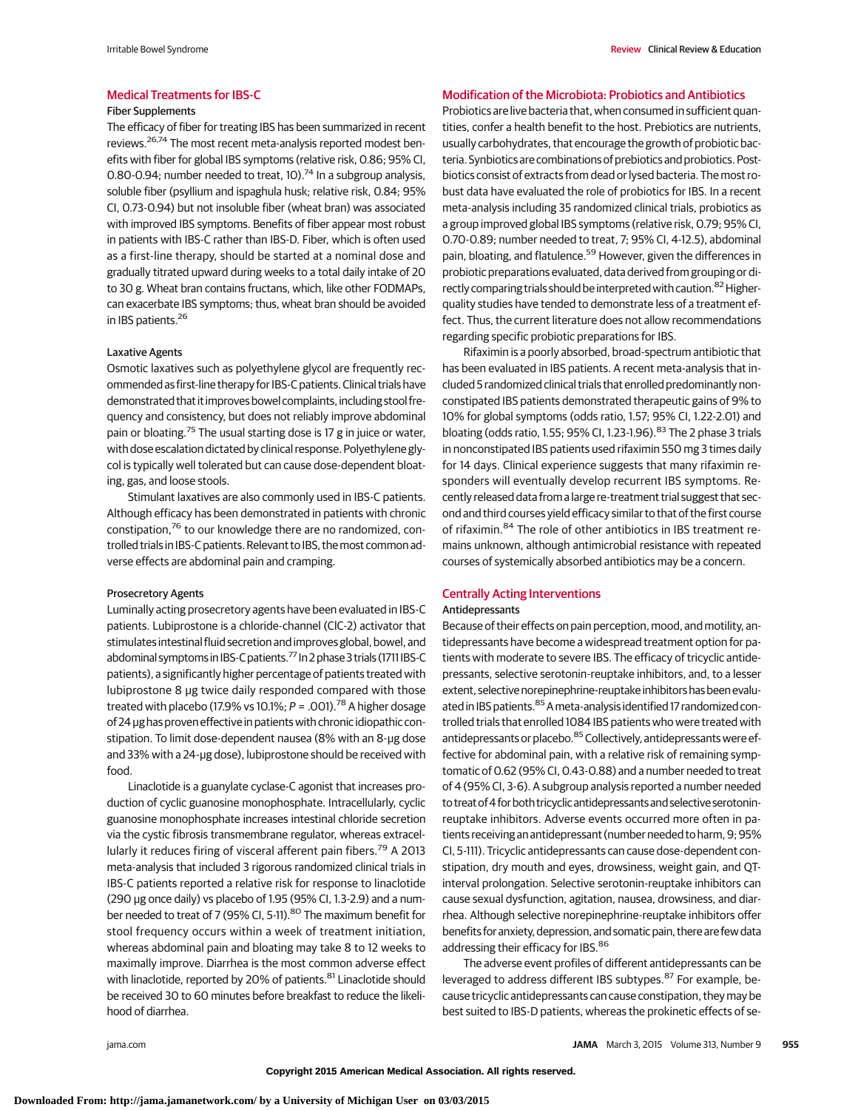#### Fiber Supplements

The efficacy of fiber for treating IBS has been summarized in recent reviews.26,74 The most recent meta-analysis reported modest benefits with fiber for global IBS symptoms (relative risk, 0.86; 95% CI, 0.80-0.94; number needed to treat, 10).<sup>74</sup> In a subgroup analysis, soluble fiber (psyllium and ispaghula husk; relative risk, 0.84; 95% CI, 0.73-0.94) but not insoluble fiber (wheat bran) was associated with improved IBS symptoms. Benefits of fiber appear most robust in patients with IBS-C rather than IBS-D. Fiber, which is often used as a first-line therapy, should be started at a nominal dose and gradually titrated upward during weeks to a total daily intake of 20 to 30 g. Wheat bran contains fructans, which, like other FODMAPs, can exacerbate IBS symptoms; thus, wheat bran should be avoided in IBS patients.<sup>26</sup>

#### Laxative Agents

Osmotic laxatives such as polyethylene glycol are frequently recommended as first-line therapy for IBS-C patients. Clinical trials have demonstrated that it improves bowel complaints, including stool frequency and consistency, but does not reliably improve abdominal pain or bloating.<sup>75</sup> The usual starting dose is 17 g in juice or water, with dose escalation dictated by clinical response. Polyethylene glycol is typically well tolerated but can cause dose-dependent bloating, gas, and loose stools.

Stimulant laxatives are also commonly used in IBS-C patients. Although efficacy has been demonstrated in patients with chronic constipation,<sup>76</sup> to our knowledge there are no randomized, controlled trials in IBS-C patients. Relevant to IBS, themost common adverse effects are abdominal pain and cramping.

#### Prosecretory Agents

Luminally acting prosecretory agents have been evaluated in IBS-C patients. Lubiprostone is a chloride-channel (ClC-2) activator that stimulates intestinal fluid secretion and improves global, bowel, and abdominal symptoms in IBS-C patients.<sup>77</sup> In 2 phase 3 trials (1711 IBS-C patients), a significantly higher percentage of patients treated with lubiprostone 8 μg twice daily responded compared with those treated with placebo (17.9% vs 10.1%;  $P = 0.001$ )<sup>78</sup> A higher dosage of 24 μg has proven effective in patients with chronic idiopathic constipation. To limit dose-dependent nausea (8% with an 8-μg dose and 33% with a 24-μg dose), lubiprostone should be received with food.

Linaclotide is a guanylate cyclase-C agonist that increases production of cyclic guanosine monophosphate. Intracellularly, cyclic guanosine monophosphate increases intestinal chloride secretion via the cystic fibrosis transmembrane regulator, whereas extracellularly it reduces firing of visceral afferent pain fibers.<sup>79</sup> A 2013 meta-analysis that included 3 rigorous randomized clinical trials in IBS-C patients reported a relative risk for response to linaclotide (290 μg once daily) vs placebo of 1.95 (95% CI, 1.3-2.9) and a number needed to treat of 7 (95% CI, 5-11).<sup>80</sup> The maximum benefit for stool frequency occurs within a week of treatment initiation, whereas abdominal pain and bloating may take 8 to 12 weeks to maximally improve. Diarrhea is the most common adverse effect with linaclotide, reported by 20% of patients.<sup>81</sup> Linaclotide should be received 30 to 60 minutes before breakfast to reduce the likelihood of diarrhea.

#### Modification of the Microbiota: Probiotics and Antibiotics

Probiotics are live bacteria that, when consumed in sufficient quantities, confer a health benefit to the host. Prebiotics are nutrients, usually carbohydrates, that encourage the growth of probiotic bacteria. Synbiotics are combinations of prebiotics and probiotics. Postbiotics consist of extracts from dead or lysed bacteria. The most robust data have evaluated the role of probiotics for IBS. In a recent meta-analysis including 35 randomized clinical trials, probiotics as a group improved global IBS symptoms (relative risk, 0.79; 95% CI, 0.70-0.89; number needed to treat, 7; 95% CI, 4-12.5), abdominal pain, bloating, and flatulence.<sup>59</sup> However, given the differences in probiotic preparations evaluated, data derived from grouping or directly comparing trials should be interpreted with caution.<sup>82</sup> Higherquality studies have tended to demonstrate less of a treatment effect. Thus, the current literature does not allow recommendations regarding specific probiotic preparations for IBS.

Rifaximin is a poorly absorbed, broad-spectrum antibiotic that has been evaluated in IBS patients. A recent meta-analysis that included 5 randomized clinical trials that enrolled predominantly nonconstipated IBS patients demonstrated therapeutic gains of 9% to 10% for global symptoms (odds ratio, 1.57; 95% CI, 1.22-2.01) and bloating (odds ratio, 1.55; 95% CI, 1.23-1.96). <sup>83</sup> The 2 phase 3 trials in nonconstipated IBS patients used rifaximin 550 mg 3 times daily for 14 days. Clinical experience suggests that many rifaximin responders will eventually develop recurrent IBS symptoms. Recently released data from a large re-treatment trial suggest that second and third courses yield efficacy similar to that of the first course of rifaximin.<sup>84</sup> The role of other antibiotics in IBS treatment remains unknown, although antimicrobial resistance with repeated courses of systemically absorbed antibiotics may be a concern.

## Centrally Acting Interventions

#### Antidepressants

Because of their effects on pain perception, mood, and motility, antidepressants have become a widespread treatment option for patients with moderate to severe IBS. The efficacy of tricyclic antidepressants, selective serotonin-reuptake inhibitors, and, to a lesser extent, selective norepinephrine-reuptake inhibitors has been evaluated in IBS patients.<sup>85</sup> A meta-analysis identified 17 randomized controlled trials that enrolled 1084 IBS patients who were treated with antidepressants or placebo.<sup>85</sup> Collectively, antidepressants were effective for abdominal pain, with a relative risk of remaining symptomatic of 0.62 (95% CI, 0.43-0.88) and a number needed to treat of 4 (95% CI, 3-6). A subgroup analysis reported a number needed to treat of 4 for both tricyclic antidepressants and selective serotoninreuptake inhibitors. Adverse events occurred more often in patients receiving an antidepressant (number needed to harm, 9; 95% CI, 5-111). Tricyclic antidepressants can cause dose-dependent constipation, dry mouth and eyes, drowsiness, weight gain, and QTinterval prolongation. Selective serotonin-reuptake inhibitors can cause sexual dysfunction, agitation, nausea, drowsiness, and diarrhea. Although selective norepinephrine-reuptake inhibitors offer benefits for anxiety, depression, and somatic pain, there are few data addressing their efficacy for IBS.<sup>86</sup>

The adverse event profiles of different antidepressants can be leveraged to address different IBS subtypes.<sup>87</sup> For example, because tricyclic antidepressants can cause constipation, they may be best suited to IBS-D patients, whereas the prokinetic effects of se-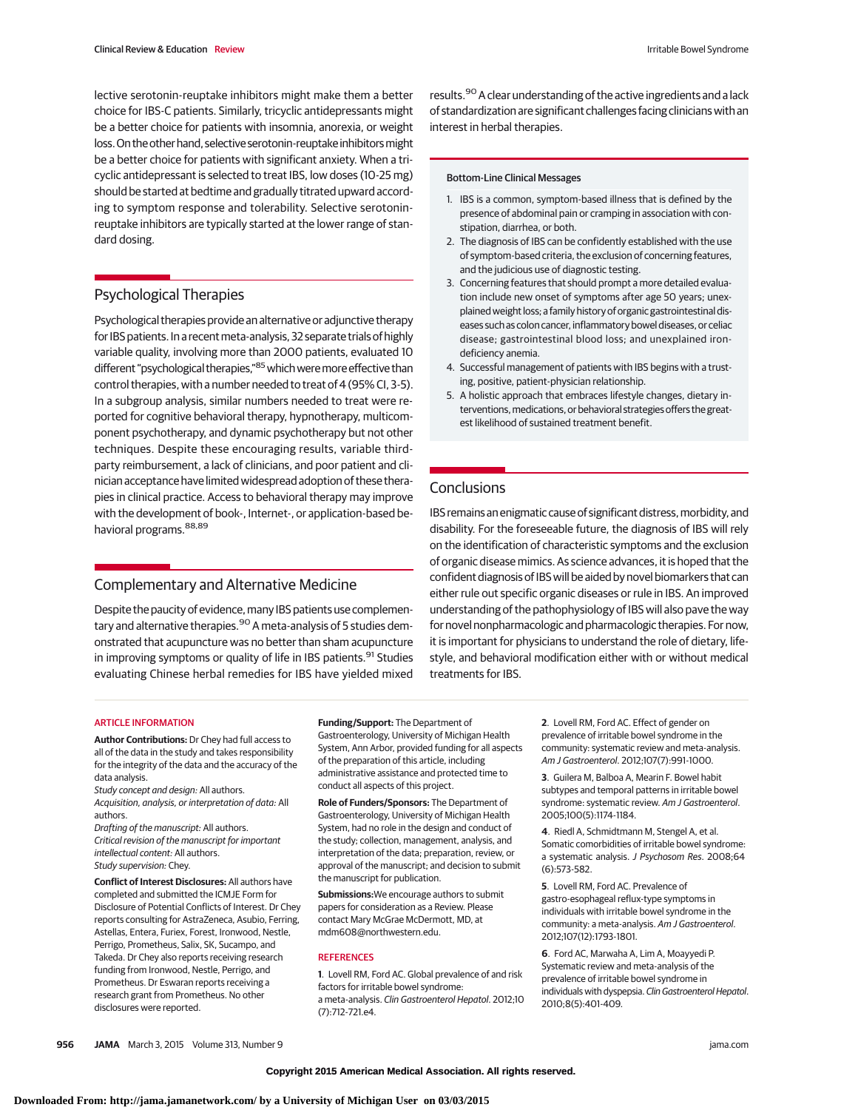lective serotonin-reuptake inhibitors might make them a better choice for IBS-C patients. Similarly, tricyclic antidepressants might be a better choice for patients with insomnia, anorexia, or weight loss. On the other hand, selective serotonin-reuptake inhibitors might be a better choice for patients with significant anxiety. When a tricyclic antidepressant is selected to treat IBS, low doses (10-25 mg) should be started at bedtime and gradually titrated upward according to symptom response and tolerability. Selective serotoninreuptake inhibitors are typically started at the lower range of standard dosing.

# Psychological Therapies

Psychological therapies provide an alternative or adjunctive therapy for IBS patients. In a recent meta-analysis, 32 separate trials of highly variable quality, involving more than 2000 patients, evaluated 10 different "psychological therapies,"85 which were more effective than control therapies, with a number needed to treat of 4 (95% CI, 3-5). In a subgroup analysis, similar numbers needed to treat were reported for cognitive behavioral therapy, hypnotherapy, multicomponent psychotherapy, and dynamic psychotherapy but not other techniques. Despite these encouraging results, variable thirdparty reimbursement, a lack of clinicians, and poor patient and clinician acceptance have limited widespread adoption of these therapies in clinical practice. Access to behavioral therapy may improve with the development of book-, Internet-, or application-based behavioral programs.<sup>88,89</sup>

# Complementary and Alternative Medicine

Despite the paucity of evidence, many IBS patients use complementary and alternative therapies.<sup>90</sup> A meta-analysis of 5 studies demonstrated that acupuncture was no better than sham acupuncture in improving symptoms or quality of life in IBS patients.<sup>91</sup> Studies evaluating Chinese herbal remedies for IBS have yielded mixed results.<sup>90</sup> A clear understanding of the active ingredients and a lack of standardization are significant challenges facing clinicians with an interest in herbal therapies.

#### Bottom-Line Clinical Messages

- 1. IBS is a common, symptom-based illness that is defined by the presence of abdominal pain or cramping in association with constipation, diarrhea, or both.
- 2. The diagnosis of IBS can be confidently established with the use of symptom-based criteria, the exclusion of concerning features, and the judicious use of diagnostic testing.
- 3. Concerning features that should prompt a more detailed evaluation include new onset of symptoms after age 50 years; unexplained weight loss; a family history of organic gastrointestinal diseases such as colon cancer, inflammatory bowel diseases, or celiac disease; gastrointestinal blood loss; and unexplained irondeficiency anemia.
- 4. Successful management of patients with IBS begins with a trusting, positive, patient-physician relationship.
- 5. A holistic approach that embraces lifestyle changes, dietary interventions, medications, or behavioral strategies offers the greatest likelihood of sustained treatment benefit.

# **Conclusions**

IBS remains an enigmatic cause of significant distress, morbidity, and disability. For the foreseeable future, the diagnosis of IBS will rely on the identification of characteristic symptoms and the exclusion of organic disease mimics. As science advances, it is hoped that the confident diagnosis of IBS will be aided by novel biomarkers that can either rule out specific organic diseases or rule in IBS. An improved understanding of the pathophysiology of IBS will also pave the way for novel nonpharmacologic and pharmacologic therapies. For now, it is important for physicians to understand the role of dietary, lifestyle, and behavioral modification either with or without medical treatments for IBS.

## ARTICLE INFORMATION

**Author Contributions:** Dr Chey had full access to all of the data in the study and takes responsibility for the integrity of the data and the accuracy of the data analysis.

Study concept and design: All authors. Acquisition, analysis, or interpretation of data: All authors.

Drafting of the manuscript: All authors. Critical revision of the manuscript for important intellectual content: All authors. Study supervision: Chey.

**Conflict of Interest Disclosures:** All authors have completed and submitted the ICMJE Form for Disclosure of Potential Conflicts of Interest. Dr Chey reports consulting for AstraZeneca, Asubio, Ferring, Astellas, Entera, Furiex, Forest, Ironwood, Nestle, Perrigo, Prometheus, Salix, SK, Sucampo, and Takeda. Dr Chey also reports receiving research funding from Ironwood, Nestle, Perrigo, and Prometheus. Dr Eswaran reports receiving a research grant from Prometheus. No other disclosures were reported.

**Funding/Support:** The Department of Gastroenterology, University of Michigan Health System, Ann Arbor, provided funding for all aspects of the preparation of this article, including administrative assistance and protected time to conduct all aspects of this project.

**Role of Funders/Sponsors:** The Department of Gastroenterology, University of Michigan Health System, had no role in the design and conduct of the study; collection, management, analysis, and interpretation of the data; preparation, review, or approval of the manuscript; and decision to submit the manuscript for publication.

**Submissions:**We encourage authors to submit papers for consideration as a Review. Please contact Mary McGrae McDermott, MD, at mdm608@northwestern.edu.

#### **REFERENCES**

**1**. Lovell RM, Ford AC. Global prevalence of and risk factors for irritable bowel syndrome: a meta-analysis. Clin Gastroenterol Hepatol. 2012;10 (7):712-721.e4.

**2**. Lovell RM, Ford AC. Effect of gender on prevalence of irritable bowel syndrome in the community: systematic review and meta-analysis. Am J Gastroenterol. 2012;107(7):991-1000.

**3**. Guilera M, Balboa A, Mearin F. Bowel habit subtypes and temporal patterns in irritable bowel syndrome: systematic review. Am J Gastroenterol. 2005;100(5):1174-1184.

**4**. Riedl A, Schmidtmann M, Stengel A, et al. Somatic comorbidities of irritable bowel syndrome: a systematic analysis. J Psychosom Res. 2008;64 (6):573-582.

**5**. Lovell RM, Ford AC. Prevalence of gastro-esophageal reflux-type symptoms in individuals with irritable bowel syndrome in the community: a meta-analysis. Am J Gastroenterol. 2012;107(12):1793-1801.

**6**. Ford AC, Marwaha A, Lim A, Moayyedi P. Systematic review and meta-analysis of the prevalence of irritable bowel syndrome in individuals with dyspepsia. Clin Gastroenterol Hepatol. 2010;8(5):401-409.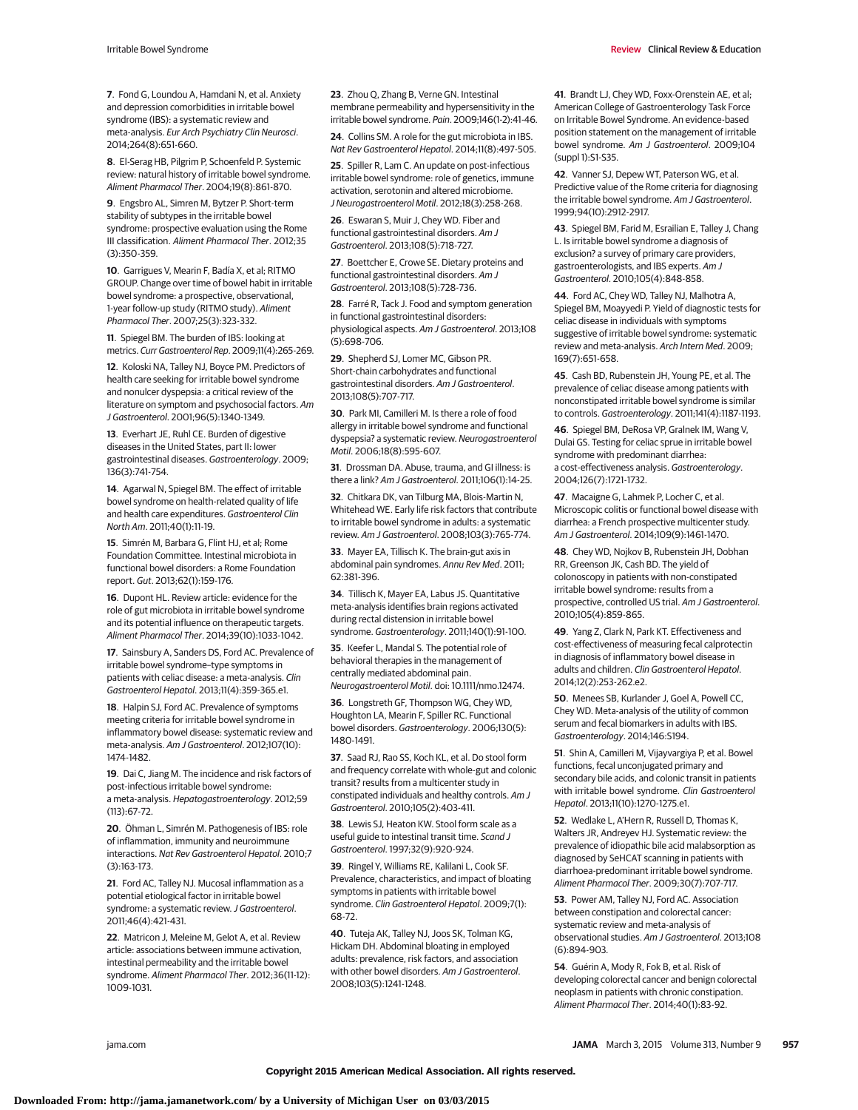Irritable Bowel Syndrome **Review Clinical Review & Education** Review Clinical Review & Education

**7**. Fond G, Loundou A, Hamdani N, et al. Anxiety and depression comorbidities in irritable bowel syndrome (IBS): a systematic review and meta-analysis. Eur Arch Psychiatry Clin Neurosci. 2014;264(8):651-660.

**8**. El-Serag HB, Pilgrim P, Schoenfeld P. Systemic review: natural history of irritable bowel syndrome. Aliment Pharmacol Ther. 2004;19(8):861-870.

**9**. Engsbro AL, Simren M, Bytzer P. Short-term stability of subtypes in the irritable bowel syndrome: prospective evaluation using the Rome III classification. Aliment Pharmacol Ther. 2012;35 (3):350-359.

**10**. Garrigues V, Mearin F, Badía X, et al; RITMO GROUP. Change over time of bowel habit in irritable bowel syndrome: a prospective, observational, 1-year follow-up study (RITMO study). Aliment Pharmacol Ther. 2007;25(3):323-332.

**11**. Spiegel BM. The burden of IBS: looking at metrics. Curr Gastroenterol Rep. 2009;11(4):265-269.

**12**. Koloski NA, Talley NJ, Boyce PM. Predictors of health care seeking for irritable bowel syndrome and nonulcer dyspepsia: a critical review of the literature on symptom and psychosocial factors. Am J Gastroenterol. 2001;96(5):1340-1349.

**13**. Everhart JE, Ruhl CE. Burden of digestive diseases in the United States, part II: lower gastrointestinal diseases. Gastroenterology. 2009; 136(3):741-754.

**14**. Agarwal N, Spiegel BM. The effect of irritable bowel syndrome on health-related quality of life and health care expenditures. Gastroenterol Clin North Am. 2011;40(1):11-19.

**15**. Simrén M, Barbara G, Flint HJ, et al; Rome Foundation Committee. Intestinal microbiota in functional bowel disorders: a Rome Foundation report. Gut. 2013;62(1):159-176.

**16**. Dupont HL. Review article: evidence for the role of gut microbiota in irritable bowel syndrome and its potential influence on therapeutic targets. Aliment Pharmacol Ther. 2014;39(10):1033-1042.

**17**. Sainsbury A, Sanders DS, Ford AC. Prevalence of irritable bowel syndrome–type symptoms in patients with celiac disease: a meta-analysis. Clin Gastroenterol Hepatol. 2013;11(4):359-365.e1.

**18**. Halpin SJ, Ford AC. Prevalence of symptoms meeting criteria for irritable bowel syndrome in inflammatory bowel disease: systematic review and meta-analysis. Am J Gastroenterol. 2012;107(10): 1474-1482.

**19**. Dai C, Jiang M. The incidence and risk factors of post-infectious irritable bowel syndrome: a meta-analysis. Hepatogastroenterology. 2012;59 (113):67-72.

**20**. Öhman L, Simrén M. Pathogenesis of IBS: role of inflammation, immunity and neuroimmune interactions. Nat Rev Gastroenterol Hepatol. 2010;7 (3):163-173.

**21**. Ford AC, Talley NJ. Mucosal inflammation as a potential etiological factor in irritable bowel syndrome: a systematic review. J Gastroenterol. 2011;46(4):421-431.

**22**. Matricon J, Meleine M, Gelot A, et al. Review article: associations between immune activation, intestinal permeability and the irritable bowel syndrome. Aliment Pharmacol Ther. 2012;36(11-12): 1009-1031.

**23**. Zhou Q, Zhang B, Verne GN. Intestinal membrane permeability and hypersensitivity in the irritable bowel syndrome. Pain. 2009;146(1-2):41-46.

**24**. Collins SM. A role for the gut microbiota in IBS. Nat Rev Gastroenterol Hepatol. 2014;11(8):497-505.

**25**. Spiller R, Lam C. An update on post-infectious irritable bowel syndrome: role of genetics, immune activation, serotonin and altered microbiome. J Neurogastroenterol Motil. 2012;18(3):258-268.

**26**. Eswaran S, Muir J, Chey WD. Fiber and functional gastrointestinal disorders. Am J Gastroenterol. 2013;108(5):718-727.

**27**. Boettcher E, Crowe SE. Dietary proteins and functional gastrointestinal disorders. Am J Gastroenterol. 2013;108(5):728-736.

**28**. Farré R, Tack J. Food and symptom generation in functional gastrointestinal disorders: physiological aspects. Am J Gastroenterol. 2013;108 (5):698-706.

**29**. Shepherd SJ, Lomer MC, Gibson PR. Short-chain carbohydrates and functional gastrointestinal disorders. Am J Gastroenterol. 2013;108(5):707-717.

**30**. Park MI, Camilleri M. Is there a role of food allergy in irritable bowel syndrome and functional dyspepsia? a systematic review. Neurogastroenterol Motil. 2006;18(8):595-607.

**31**. Drossman DA. Abuse, trauma, and GI illness: is there a link? Am J Gastroenterol. 2011;106(1):14-25.

**32**. Chitkara DK, van Tilburg MA, Blois-Martin N, Whitehead WE. Early life risk factors that contribute to irritable bowel syndrome in adults: a systematic review. Am J Gastroenterol. 2008;103(3):765-774.

**33**. Mayer EA, Tillisch K. The brain-gut axis in abdominal pain syndromes. Annu Rev Med. 2011; 62:381-396.

**34**. Tillisch K, Mayer EA, Labus JS. Quantitative meta-analysis identifies brain regions activated during rectal distension in irritable bowel syndrome. Gastroenterology. 2011;140(1):91-100.

**35**. Keefer L, Mandal S. The potential role of behavioral therapies in the management of centrally mediated abdominal pain. Neurogastroenterol Motil. doi: 10.1111/nmo.12474.

**36**. Longstreth GF, Thompson WG, Chey WD, Houghton LA, Mearin F, Spiller RC. Functional bowel disorders. Gastroenterology. 2006;130(5): 1480-1491.

**37**. Saad RJ, Rao SS, Koch KL, et al. Do stool form and frequency correlate with whole-gut and colonic transit? results from a multicenter study in constipated individuals and healthy controls. Am J Gastroenterol. 2010;105(2):403-411.

**38**. Lewis SJ, Heaton KW. Stool form scale as a useful guide to intestinal transit time. Scand J Gastroenterol. 1997;32(9):920-924.

**39**. Ringel Y, Williams RE, Kalilani L, Cook SF. Prevalence, characteristics, and impact of bloating symptoms in patients with irritable bowel syndrome. Clin Gastroenterol Hepatol. 2009;7(1): 68-72.

**40**. Tuteja AK, Talley NJ, Joos SK, Tolman KG, Hickam DH. Abdominal bloating in employed adults: prevalence, risk factors, and association with other bowel disorders. Am J Gastroenterol. 2008;103(5):1241-1248.

**41**. Brandt LJ, Chey WD, Foxx-Orenstein AE, et al; American College of Gastroenterology Task Force on Irritable Bowel Syndrome. An evidence-based position statement on the management of irritable bowel syndrome. Am J Gastroenterol. 2009;104 (suppl 1):S1-S35.

**42**. Vanner SJ, Depew WT, Paterson WG, et al. Predictive value of the Rome criteria for diagnosing the irritable bowel syndrome. Am J Gastroenterol. 1999;94(10):2912-2917.

**43**. Spiegel BM, Farid M, Esrailian E, Talley J, Chang L. Is irritable bowel syndrome a diagnosis of exclusion? a survey of primary care providers, gastroenterologists, and IBS experts. Am J Gastroenterol. 2010;105(4):848-858.

**44**. Ford AC, Chey WD, Talley NJ, Malhotra A, Spiegel BM, Moayyedi P. Yield of diagnostic tests for celiac disease in individuals with symptoms suggestive of irritable bowel syndrome: systematic review and meta-analysis. Arch Intern Med. 2009; 169(7):651-658.

**45**. Cash BD, Rubenstein JH, Young PE, et al. The prevalence of celiac disease among patients with nonconstipated irritable bowel syndrome is similar to controls. Gastroenterology. 2011;141(4):1187-1193.

**46**. Spiegel BM, DeRosa VP, Gralnek IM, Wang V, Dulai GS. Testing for celiac sprue in irritable bowel syndrome with predominant diarrhea: a cost-effectiveness analysis. Gastroenterology. 2004;126(7):1721-1732.

**47**. Macaigne G, Lahmek P, Locher C, et al. Microscopic colitis or functional bowel disease with diarrhea: a French prospective multicenter study. Am J Gastroenterol. 2014;109(9):1461-1470.

**48**. Chey WD, Nojkov B, Rubenstein JH, Dobhan RR, Greenson JK, Cash BD. The yield of colonoscopy in patients with non-constipated irritable bowel syndrome: results from a prospective, controlled US trial. Am J Gastroenterol. 2010;105(4):859-865.

**49**. Yang Z, Clark N, Park KT. Effectiveness and cost-effectiveness of measuring fecal calprotectin in diagnosis of inflammatory bowel disease in adults and children. Clin Gastroenterol Hepatol. 2014;12(2):253-262.e2.

**50**. Menees SB, Kurlander J, Goel A, Powell CC, Chey WD. Meta-analysis of the utility of common serum and fecal biomarkers in adults with IBS. Gastroenterology. 2014;146:S194.

**51**. Shin A, Camilleri M, Vijayvargiya P, et al. Bowel functions, fecal unconjugated primary and secondary bile acids, and colonic transit in patients with irritable bowel syndrome. Clin Gastroenterol Hepatol. 2013;11(10):1270-1275.e1.

**52**. Wedlake L, A'Hern R, Russell D, Thomas K, Walters JR, Andreyev HJ. Systematic review: the prevalence of idiopathic bile acid malabsorption as diagnosed by SeHCAT scanning in patients with diarrhoea-predominant irritable bowel syndrome. Aliment Pharmacol Ther. 2009;30(7):707-717.

**53**. Power AM, Talley NJ, Ford AC. Association between constipation and colorectal cancer: systematic review and meta-analysis of observational studies. Am J Gastroenterol. 2013;108 (6):894-903.

**54**. Guérin A, Mody R, Fok B, et al. Risk of developing colorectal cancer and benign colorectal neoplasm in patients with chronic constipation. Aliment Pharmacol Ther. 2014;40(1):83-92.